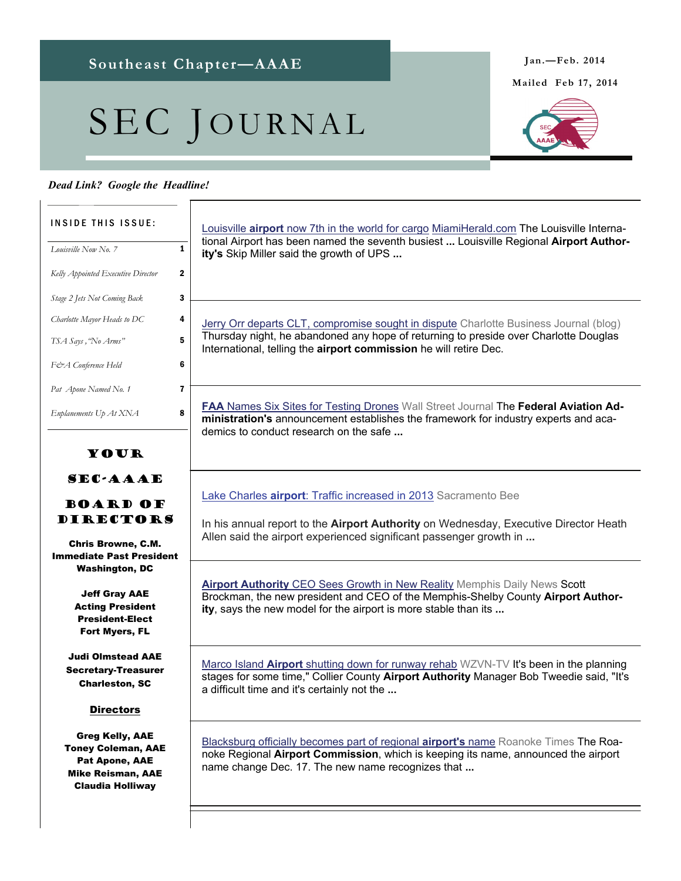# SEC JOURNAL

## *Dead Link? Google the Headline!*

### Your SEC-AAAE Board of **DIRECTORS** Chris Browne, C.M. Immediate Past President Washington, DC Jeff Gray AAE Acting President President-Elect Fort Myers, FL Judi Olmstead AAE Secretary-Treasurer Charleston, SC **Directors** Greg Kelly, AAE Toney Coleman, AAE Pat Apone, AAE Mike Reisman, AAE Claudia Holliway INSIDE THIS ISSUE: *Louisville Now No. 7* **1** *Kelly Appointed Executive Director* 2 *Stage 2 Jets Not Coming Back* 3 *Charlotte Mayor Heads to DC* 4 *TSA Says ,"No Arms"* 5 *F&A Conference Held* 6 *Enplanements Up At XNA* **8** *Pat Apone Named No. 1* **7** Louisville **airport** [now 7th in the world for cargo](https://www.google.com/url?q=http://www.miamiherald.com/2013/12/29/3842516/louisville-airport-now-7th-in.html&ct=ga&cd=MTgyNDUxMzc1MjExNTc1ODc2OA&cad=CAEYAA&usg=AFQjCNGS0IO8l7RqHr0WfbZKqOcAx5_0pw) [MiamiHerald.com](http://MiamiHerald.com) The Louisville International Airport has been named the seventh busiest **...** Louisville Regional **Airport Authority's** Skip Miller said the growth of UPS **...**  [Jerry Orr departs CLT, compromise sought in dispute](https://www.google.com/url?q=http://www.bizjournals.com/charlotte/blog/queen_city_agenda/2013/12/jerry-orr-departs-clt-compromise-sought-in-dispute.html%3Fpage%3Dall&ct=ga&cd=NzgyNTgwNjU2MjgxODIzNzc4MQ&cad=CAEYAQ&usg=AFQjCNHSZSSKVnHc6q12qAGMW_dE-Ff5bg) Charlotte Business Journal (blog) Thursday night, he abandoned any hope of returning to preside over Charlotte Douglas International, telling the **airport commission** he will retire Dec. **FAA** [Names Six Sites for Testing Drones](https://www.google.com/url?q=http://online.wsj.com/news/articles/SB10001424052702304591604579290412510481766&ct=ga&cd=NTc1NzA4MDI4NzA0MDkyOTgyMA&cad=CAEYAA&usg=AFQjCNGmih8a1ANwu5SpvyzMFtE68bOSXQ) Wall Street Journal The Federal Aviation Ad**ministration's** announcement establishes the framework for industry experts and academics to conduct research on the safe **...**  Lake Charles **airport**[: Traffic increased in 2013](https://www.google.com/url?q=http://www.sacbee.com/2014/01/09/6058587/lake-charles-airport-traffic-increased.html&ct=ga&cd=OTMyOTUxNjczMzQ4Mjc0MTI3NA&cad=CAEYAA&usg=AFQjCNFKYrVvX75o6_c33xk6hdq-ioNL2g) Sacramento Bee In his annual report to the **Airport Authority** on Wednesday, Executive Director Heath Allen said the airport experienced significant passenger growth in **... Airport Authority** [CEO Sees Growth in New Reality](https://www.google.com/url?q=http://www.memphisdailynews.com/news/2014/jan/7/airport-authority-ceo-sees-growth-in-new-reality/&ct=ga&cd=ODg0MDgxMTk2NTA3MTc1MDIzMg&cad=CAEYAA&usg=AFQjCNG3MNLZAg6dcKdcZfLBMjjWapjYvA) Memphis Daily News Scott Brockman, the new president and CEO of the Memphis-Shelby County **Airport Authority**, says the new model for the airport is more stable than its **...**  Marco Island **Airport** [shutting down for runway rehab](https://www.google.com/url?q=http://www.abc-7.com/story/24410661/marco-island-airport-shutting-down-for-runway-rehab&ct=ga&cd=Mjk3MDQyOTc2MjI2ODU2NTIzMA&cad=CAEYAw&usg=AFQjCNFwXF06bfquQNoQ7GibhdoaAe-A-A) WZVN-TV It's been in the planning stages for some time," Collier County **Airport Authority** Manager Bob Tweedie said, "It's a difficult time and it's certainly not the **...**  [Blacksburg officially becomes part of regional](https://www.google.com/url?q=http://www.roanoke.com/news/local/blacksburg/article_19eb27a8-78cd-11e3-a740-001a4bcf6878.html&ct=ga&cd=MTczNzc2MjQ1NDIzNzEwODkwODg&cad=CAEYBA&usg=AFQjCNGjDZa4eB1VlNQZvgnEJUuEKuOfaw) **airport's** name Roanoke Times The Roanoke Regional **Airport Commission**, which is keeping its name, announced the airport name change Dec. 17. The new name recognizes that **...**

**Mailed Feb 17, 2014** 

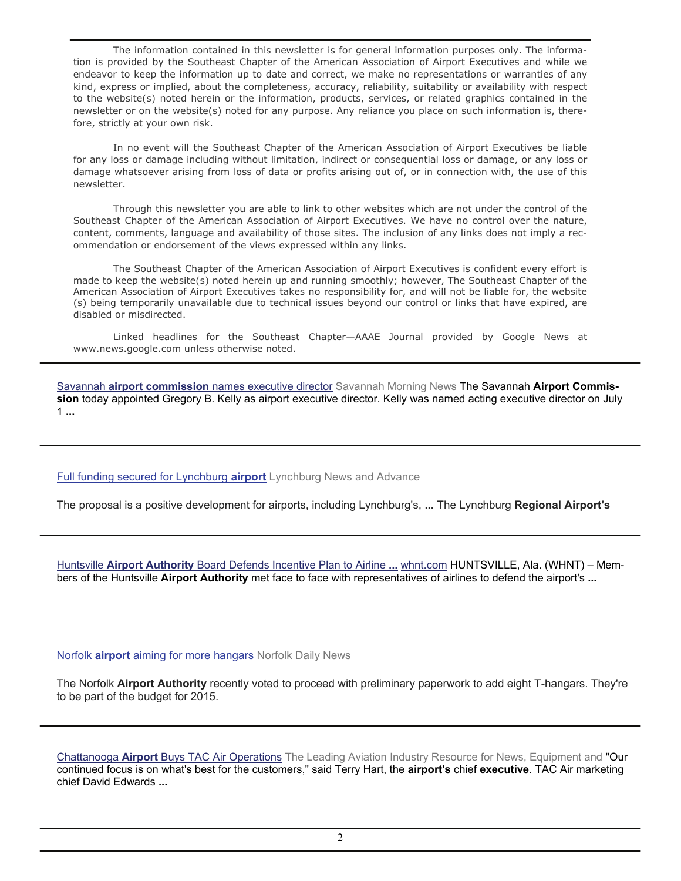The information contained in this newsletter is for general information purposes only. The information is provided by the Southeast Chapter of the American Association of Airport Executives and while we endeavor to keep the information up to date and correct, we make no representations or warranties of any kind, express or implied, about the completeness, accuracy, reliability, suitability or availability with respect to the website(s) noted herein or the information, products, services, or related graphics contained in the newsletter or on the website(s) noted for any purpose. Any reliance you place on such information is, therefore, strictly at your own risk.

 In no event will the Southeast Chapter of the American Association of Airport Executives be liable for any loss or damage including without limitation, indirect or consequential loss or damage, or any loss or damage whatsoever arising from loss of data or profits arising out of, or in connection with, the use of this newsletter.

 Through this newsletter you are able to link to other websites which are not under the control of the Southeast Chapter of the American Association of Airport Executives. We have no control over the nature, content, comments, language and availability of those sites. The inclusion of any links does not imply a recommendation or endorsement of the views expressed within any links.

 The Southeast Chapter of the American Association of Airport Executives is confident every effort is made to keep the website(s) noted herein up and running smoothly; however, The Southeast Chapter of the American Association of Airport Executives takes no responsibility for, and will not be liable for, the website (s) being temporarily unavailable due to technical issues beyond our control or links that have expired, are disabled or misdirected.

 Linked headlines for the Southeast Chapter—AAAE Journal provided by Google News at www.news.google.com unless otherwise noted.

Savannah **airport commission** [names executive director](https://www.google.com/url?q=http://savannahnow.com/exchange/2014-01-08/savannah-airport-commission-names-executive-director&ct=ga&cd=MTA3MDkzMDU0NzA5ODA4OTQzOTY&cad=CAEYAA&usg=AFQjCNESWddm2uv66D03_08JcrpVjbqg2A) Savannah Morning News The Savannah **Airport Commission** today appointed Gregory B. Kelly as airport executive director. Kelly was named acting executive director on July 1 **...** 

[Full funding secured for Lynchburg](https://www.google.com/url?q=http://www.newsadvance.com/news/local/full-funding-secured-for-lynchburg-airport/article_b2882534-7d40-11e3-bccc-0019bb30f31a.html&ct=ga&cd=MTA4NDk4NjQ0MDk4MTg4NDQ3NDk&cad=CAEYAQ&usg=AFQjCNE3DwYO9w_-8o4x-myglhclqf2SdA) **airport** Lynchburg News and Advance

The proposal is a positive development for airports, including Lynchburg's, **...** The Lynchburg **Regional Airport's**

Huntsville **Airport Authority** [Board Defends Incentive Plan to Airline](https://www.google.com/url?q=http://whnt.com/2014/01/14/huntsville-airport-authority-board-defends-incentive-plan-to-airline-representatives/&ct=ga&cd=MzQ1MTU1NzcyNzYxOTk1NjI5Ng&cad=CAEYAA&usg=AFQjCNEkHd7zgm9GvNpYIp-oJkCVxFxUPQ) **...** [whnt.com](http://whnt.com) HUNTSVILLE, Ala. (WHNT) – Members of the Huntsville **Airport Authority** met face to face with representatives of airlines to defend the airport's **...** 

### Norfolk **airport** [aiming for more hangars](https://www.google.com/url?q=http://norfolkdailynews.com/news/norfolk-airport-aiming-for-more-hangars/article_7eb84640-7d30-11e3-a5e3-0019bb30f31a.html&ct=ga&cd=NjkwNTIwODUwMzE3NDk4NDc1OQ&cad=CAEYAQ&usg=AFQjCNGXywjk8sGfxh-g8hZt56E3tYgqOw) Norfolk Daily News

The Norfolk **Airport Authority** recently voted to proceed with preliminary paperwork to add eight T-hangars. They're to be part of the budget for 2015.

Chattanooga **Airport** [Buys TAC Air Operations](https://www.google.com/url?q=http://www.aviationpros.com/news/11293005/chattanooga-airport-officials-friday-moved-to-merge-general-aviation-services-at-lovell-field-buying-out-competitor-tac-air-for-1237-million&ct=ga&cd=MTM2NDIzMjg0MTU1MDEyMjc1MTQ&cad=CAEYAQ&usg=AFQjCNFoyKE_UmVgO_SdXYozQnMiuf5JOg) The Leading Aviation Industry Resource for News, Equipment and "Our continued focus is on what's best for the customers," said Terry Hart, the **airport's** chief **executive**. TAC Air marketing chief David Edwards **...**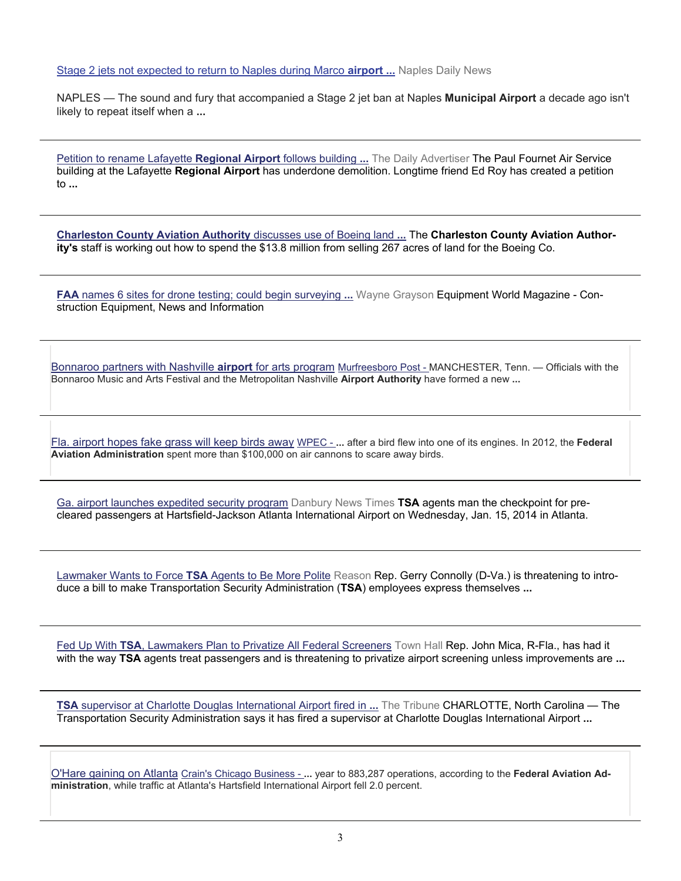#### [Stage 2 jets not expected to return to Naples during Marco](https://www.google.com/url?q=http://www.naplesnews.com/news/2014/jan/12/stage-2-jets-marco-island-airport-shutdown-landing/&ct=ga&cd=MTM2NTI0NjgyNTA5MTIzNjU3MTk&cad=CAEYAA&usg=AFQjCNGe1xA1yPLsK7B0zsnCxARcB6FbWQ) **airport ...** Naples Daily News

NAPLES — The sound and fury that accompanied a Stage 2 jet ban at Naples **Municipal Airport** a decade ago isn't likely to repeat itself when a **...**

[Petition to rename Lafayette](https://www.google.com/url?q=http://www.theadvertiser.com/article/20140109/NEWS01/301090027/Petition-rename-Lafayette-Regional-Airport-follows-building-demolition&ct=ga&cd=MTE4NzAwNzI4OTg4MDcxMDQ0MzE&cad=CAEYAA&usg=AFQjCNGojMk_yezCmM88RD6-WyxgrncRag) **Regional Airport** follows building **...** The Daily Advertiser The Paul Fournet Air Service building at the Lafayette **Regional Airport** has underdone demolition. Longtime friend Ed Roy has created a petition to **...** 

**[Charleston County Aviation Authority](https://www.google.com/url?q=http://www.charlestonbusiness.com/news/50072-charleston-county-aviation-authority-discusses-use-of-boeing-land-sale-funds%3Frss%3D0&ct=ga&cd=NDA4NzQ5MjczNjQ5OTg2MDAxMg&cad=CAEYAA&usg=AFQjCNFadk-2_hBvJbWF1WpYyxcEfhreFQ)** discusses use of Boeing land **...** The **Charleston County Aviation Authority's** staff is working out how to spend the \$13.8 million from selling 267 acres of land for the Boeing Co.

**FAA** [names 6 sites for drone testing; could begin surveying](https://www.google.com/url?q=http://www.equipmentworld.com/faa-names-6-sites-for-drone-testing-could-begin-surveying-construction-sites-by-2015/&ct=ga&cd=MTU0NTQzMTk1MjY2NjIyMzM2MDA&cad=CAEYAA&usg=AFQjCNEi27hnqvMi4xjjtIMCVRNlxoq8cw) **...** Wayne Grayson Equipment World Magazine - Construction Equipment, News and Information

[Bonnaroo partners with Nashville](https://www.google.com/url?q=http://www.murfreesboropost.com/bonnaroo-partners-with-nashville-airport-for-arts-program-cms-38068&ct=ga&cd=MTY3Njg4NDA2NzI5ODg4OTYzNA&cad=CAEYAA&usg=AFQjCNG8dPWyGyDViChdJ7kuJA30DB9nxA) **airport** for arts program Murfreesboro Post - MANCHESTER, Tenn. — Officials with the Bonnaroo Music and Arts Festival and the Metropolitan Nashville **Airport Authority** have formed a new **...**

[Fla. airport hopes fake grass will keep birds away](https://www.google.com/url?q=http://www.cbs12.com/template/inews_wire/wires.regional.fl/38010781-www.cbs12.com.shtml&ct=ga&cd=MTU0OTY0MDQ1MTQwMTQ2NDQ4NjM&cad=CAEYAA&usg=AFQjCNFXcph-82YJ5Hc8YpfLKhzF4cHrZQ) WPEC - **...** after a bird flew into one of its engines. In 2012, the **Federal Aviation Administration** spent more than \$100,000 on air cannons to scare away birds.

[Ga. airport launches expedited security program](https://www.google.com/url?q=http://www.newstimes.com/news/article/Ga-airport-launches-expedited-security-program-5146941.php&ct=ga&cd=MTQ4ODg4MTk4MjM5NTI0OTMzNTA&cad=CAEYAw&usg=AFQjCNH1U10ynNhMXnTAcr_rej-az0OvxA) Danbury News Times **TSA** agents man the checkpoint for precleared passengers at Hartsfield-Jackson Atlanta International Airport on Wednesday, Jan. 15, 2014 in Atlanta.

[Lawmaker Wants to Force](https://www.google.com/url?q=http://reason.com/24-7/2014/01/15/lawmaker-wants-to-force-tsa-agents-to-be&ct=ga&cd=MTQ4ODg4MTk4MjM5NTI0OTMzNTA&cad=CAEYAg&usg=AFQjCNELYx1igpYPsZzQgTeQR9YWoWHZNQ) **TSA** Agents to Be More Polite Reason Rep. Gerry Connolly (D-Va.) is threatening to introduce a bill to make Transportation Security Administration (**TSA**) employees express themselves **...** 

Fed Up With **TSA**[, Lawmakers Plan to Privatize All Federal Screeners](https://www.google.com/url?q=http://townhall.com/tipsheet/leahbarkoukis/2014/01/15/lawmakers-threaten-tsa-with-private-screeners-n1779542&ct=ga&cd=MTQ4ODg4MTk4MjM5NTI0OTMzNTA&cad=CAEYAQ&usg=AFQjCNFsI0vmnuPzGxWDGgX7NssWhW-Xeg) Town Hall Rep. John Mica, R-Fla., has had it with the way **TSA** agents treat passengers and is threatening to privatize airport screening unless improvements are **...** 

**TSA** [supervisor at Charlotte Douglas International Airport fired in](https://www.google.com/url?q=http://www.tribtown.com/view/story/ed51c6e7bd5e4f26b622311042a9491e/NC--TSA-Supervisor-Fired&ct=ga&cd=MTQ4ODg4MTk4MjM5NTI0OTMzNTA&cad=CAEYAA&usg=AFQjCNHIR4N5v2OimLCXLNbv2CvGO5qyyw) **...** The Tribune CHARLOTTE, North Carolina — The Transportation Security Administration says it has fired a supervisor at Charlotte Douglas International Airport **...** 

[O'Hare gaining on Atlanta](https://www.google.com/url?q=http://www.chicagobusiness.com/article/20140121/NEWS02/140129931/ohare-gaining-on-atlanta&ct=ga&cd=MTQ3NzcyMTMyMzg5MjU5Mjc0MA&cad=CAEYAg&usg=AFQjCNEBaB7LlrOSgagQKH_quFOwDlNUpw) Crain's Chicago Business - **...** year to 883,287 operations, according to the **Federal Aviation Administration**, while traffic at Atlanta's Hartsfield International Airport fell 2.0 percent.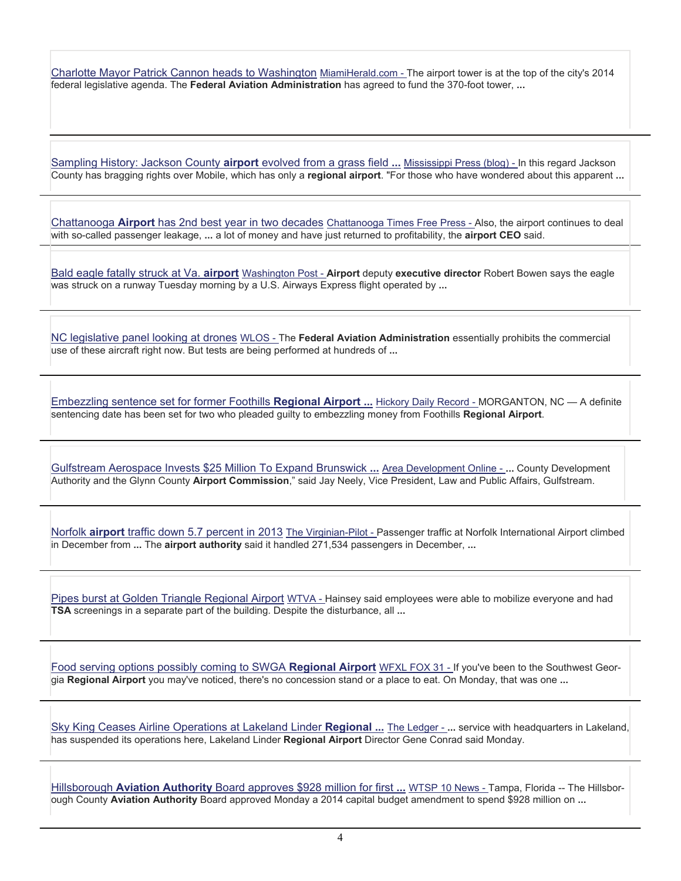[Charlotte Mayor Patrick Cannon heads to Washington](https://www.google.com/url?q=http://www.miamiherald.com/2014/01/22/3886467/charlotte-mayor-patrick-cannon.html&ct=ga&cd=MTQ3NzcyMTMyMzg5MjU5Mjc0MA&cad=CAEYAw&usg=AFQjCNGcw7xjPKnMpZj2zV0XCHrwENmEbA) MiamiHerald.com - The airport tower is at the top of the city's 2014 federal legislative agenda. The **Federal Aviation Administration** has agreed to fund the 370-foot tower, **...**

[Sampling History: Jackson County](https://www.google.com/url?q=http://blog.gulflive.com/mississippi-press-living/2014/01/sampling_history_jackson_count.html&ct=ga&cd=MTMzMjc1OTY2NzUwNjkyMTMzNw&cad=CAEYAQ&usg=AFQjCNErEse87ejN1koJsrJZo3fXzP6wUg) **airport** evolved from a grass field **...** Mississippi Press (blog) - In this regard Jackson County has bragging rights over Mobile, which has only a **regional airport**. "For those who have wondered about this apparent **...**

Chattanooga **Airport** [has 2nd best year in two decades](https://www.google.com/url?q=http://timesfreepress.com/news/2014/jan/28/airport-has-2nd-best-year-in-two-decades/&ct=ga&cd=MTI2MjMxMzIwODgwMjgzODcyMzc&cad=CAEYBQ&usg=AFQjCNEGuQTp3c7i8pyMUekXS6UBxILp0Q) Chattanooga Times Free Press - Also, the airport continues to deal with so-called passenger leakage, **...** a lot of money and have just returned to profitability, the **airport CEO** said.

[Bald eagle fatally struck at Va.](https://www.google.com/url?q=http://www.washingtonpost.com/local/bald-eagle-fatally-struck-at-va-airport/2014/01/28/164a224c-8869-11e3-a760-a86415d0944d_story.html&ct=ga&cd=Njk4NzI3NDY4NzgyMTc2Nw&cad=CAEYAQ&usg=AFQjCNFwpC34By0M6oA7-z42u85c6unGUw) **airport** Washington Post - **Airport** deputy **executive director** Robert Bowen says the eagle was struck on a runway Tuesday morning by a U.S. Airways Express flight operated by **...**

[NC legislative panel looking at drones](https://www.google.com/url?q=http://www.wlos.com/template/inews_wire/wires.regional.nc/3a014bdf-www.wlos.com.shtml&ct=ga&cd=MjkzOTcxNzkyMjU1NjIxNDgxOQ&cad=CAEYAg&usg=AFQjCNFV1asZqSi9rndraVBseH3Oq0GRhQ) WLOS - The **Federal Aviation Administration** essentially prohibits the commercial use of these aircraft right now. But tests are being performed at hundreds of **...**

[Embezzling sentence set for former Foothills](https://www.google.com/url?q=http://www.hickoryrecord.com/news/article_ffe0168c-82f1-11e3-9f38-0019bb30f31a.html&ct=ga&cd=MTAxOTI4MzA0ODAyMjM2OTcwNjk&cad=CAEYAA&usg=AFQjCNEewAMVX0K_wNCyB-N90Q_N1gxFKw) **Regional Airport ...** Hickory Daily Record - MORGANTON, NC — A definite sentencing date has been set for two who pleaded guilty to embezzling money from Foothills **Regional Airport**.

[Gulfstream Aerospace Invests \\$25 Million To Expand Brunswick](https://www.google.com/url?q=http://www.areadevelopment.com/newsItems/1-21-2014/gulfstream-aerospace-service-center-expansion-brunswick-georgia5902343.shtml&ct=ga&cd=MzgzNDc3MzA5MjQ3NDMxNjk4NA&cad=CAEYBQ&usg=AFQjCNEPzOcTGTXnfSDIIW67nRtKG4EyTg) **...** Area Development Online - **...** County Development Authority and the Glynn County **Airport Commission**," said Jay Neely, Vice President, Law and Public Affairs, Gulfstream.

Norfolk **airport** [traffic down 5.7 percent in 2013](https://www.google.com/url?q=http://hamptonroads.com/2014/01/norfolk-airport-traffic-down-57-percent-2013&ct=ga&cd=Njc1NjA3ODQ5NjEzMTc2OTcxOQ&cad=CAEYAA&usg=AFQjCNGac_IMQ45firD-y013IIwxvAWBPA) The Virginian-Pilot - Passenger traffic at Norfolk International Airport climbed in December from **...** The **airport authority** said it handled 271,534 passengers in December, **...**

[Pipes burst at Golden Triangle Regional Airport](https://www.google.com/url?q=http://www.wtva.com/news/local/story/Pipes-burst-at-Golden-Triangle-Regional-Airport/z1lzV4RDRUGwl9Esx0ttEw.cspx&ct=ga&cd=NzY4NTgwOTY3NzAyOTEwNDM4OA&cad=CAEYAw&usg=AFQjCNGqHA-QH_elUWCKavmVxbmQJ4VMkA) WTVA - Hainsey said employees were able to mobilize everyone and had **TSA** screenings in a separate part of the building. Despite the disturbance, all **...**

[Food serving options possibly coming to SWGA](https://www.google.com/url?q=http://www.mysouthwestga.com/news/story.aspx%3Flist%3D196423%26id%3D999574&ct=ga&cd=MTUwNDQ0NzI3NzAyOTYyMTgyODQ&cad=CAEYAA&usg=AFQjCNFFs_5DM6IQzV4WwjRbxIvzOyxiwQ) **Regional Airport** WFXL FOX 31 - If you've been to the Southwest Georgia **Regional Airport** you may've noticed, there's no concession stand or a place to eat. On Monday, that was one **...**

[Sky King Ceases Airline Operations at Lakeland Linder](https://www.google.com/url?q=http://www.theledger.com/article/20140127/NEWS/140129203&ct=ga&cd=MTQ1Mzg4MTE1NzM2Mzk4NTQwOTk&cad=CAEYAA&usg=AFQjCNHf7O0o6LcfDpDZU5PmVuQD4bHOgw) **Regional ...** The Ledger - **...** service with headquarters in Lakeland, has suspended its operations here, Lakeland Linder **Regional Airport** Director Gene Conrad said Monday.

Hillsborough **Aviation Authority** [Board approves \\$928 million for first](https://www.google.com/url?q=http://www.wtsp.com/news/local/article/354453/8/928M-approved-for-first-phase-of-Tampa-airport-changes&ct=ga&cd=Mjk4NDM3ODc5OTg1NjQ0NjQzNA&cad=CAEYAA&usg=AFQjCNHBu8I6-uTNFKH0GCXdYpvr25qiwQ) **...** WTSP 10 News - Tampa, Florida -- The Hillsborough County **Aviation Authority** Board approved Monday a 2014 capital budget amendment to spend \$928 million on **...**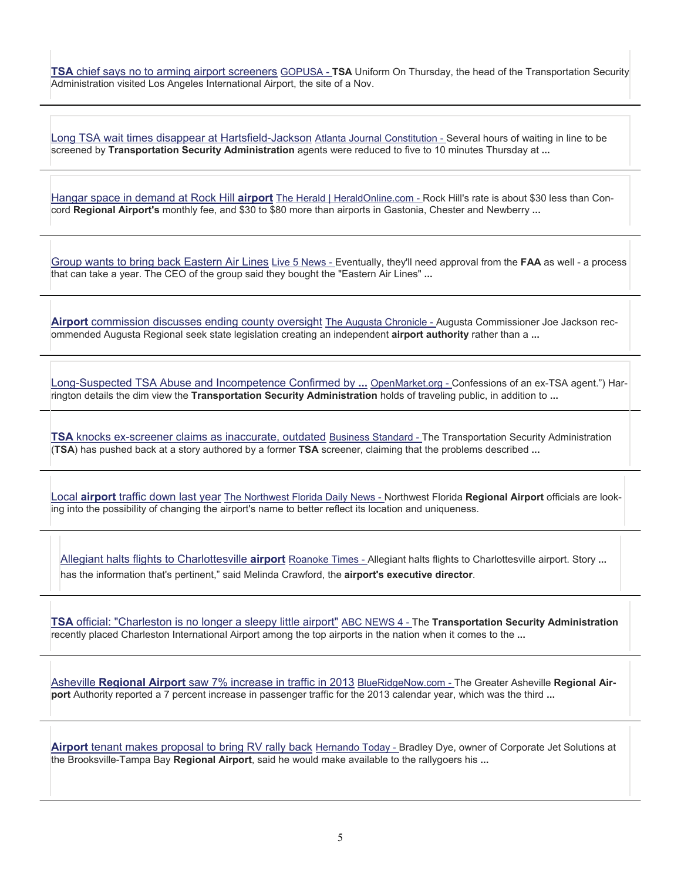**TSA** [chief says no to arming airport screeners](https://www.google.com/url?q=http://www.gopusa.com/news/2014/01/31/tsa-chief-says-no-to-arming-airport-screeners/&ct=ga&cd=ODc1NDEzNTY1OTYxNjc2ODY1OA&cad=CAEYAA&usg=AFQjCNEa_1lJeFSU9oM7YY-XasoH77Zbvw) GOPUSA - **TSA** Uniform On Thursday, the head of the Transportation Security Administration visited Los Angeles International Airport, the site of a Nov.

[Long TSA wait times disappear at Hartsfield-Jackson](https://www.google.com/url?q=http://www.ajc.com/news/business/long-tsa-wait-times-disappear-at-hartsfield-jackso/nc7Ly/&ct=ga&cd=OTU5NTY4NDY4NjQxNDk4NzczMg&cad=CAEYAQ&usg=AFQjCNG-35C3aOCevCq4iQvJjyb_7DFJTg) Atlanta Journal Constitution - Several hours of waiting in line to be screened by **Transportation Security Administration** agents were reduced to five to 10 minutes Thursday at **...**

[Hangar space in demand at Rock Hill](https://www.google.com/url?q=http://www.heraldonline.com/2014/01/30/5630613/hangar-space-in-demand-at-rock.html&ct=ga&cd=NTM1NjAwNzY0MjE1MDEyOTQzMw&cad=CAEYAw&usg=AFQjCNFrzc4KEzd56WjCm_Mtn61PQIdmbA) **airport** The Herald | HeraldOnline.com - Rock Hill's rate is about \$30 less than Concord **Regional Airport's** monthly fee, and \$30 to \$80 more than airports in Gastonia, Chester and Newberry **...**

[Group wants to bring back Eastern Air Lines](https://www.google.com/url?q=http://www.live5news.com/story/24594357/group-wants-to-bring-back-eastern-air-lines&ct=ga&cd=MTI5Nzc2NDYxNzU1MDgzOTkxMDI&cad=CAEYAA&usg=AFQjCNHa0-zUdaxy7zLjHpUsRQXobGvkAg) Live 5 News - Eventually, they'll need approval from the **FAA** as well - a process that can take a year. The CEO of the group said they bought the "Eastern Air Lines" **...**

**Airport** [commission discusses ending county oversight](https://www.google.com/url?q=http://chronicle.augusta.com/news/metro/2014-01-30/airport-commission-discusses-ending-county-oversight&ct=ga&cd=MTExNDMxMTg2OTEyNTQzNzQ1OTc&cad=CAEYAA&usg=AFQjCNGKVeRcfcF6qiZseXeJRJ9FBATcWw) The Augusta Chronicle - Augusta Commissioner Joe Jackson recommended Augusta Regional seek state legislation creating an independent **airport authority** rather than a **...**

[Long-Suspected TSA Abuse and Incompetence Confirmed by](https://www.google.com/url?q=http://www.openmarket.org/2014/01/31/long-suspected-tsa-abuse-and-incompetence-confirmed-by-former-tsa-employee/&ct=ga&cd=OTk2ODUyNTE4ODI1OTU0OTMzNg&cad=CAEYAQ&usg=AFQjCNGsg1HfdkU_3iZTEvhpwfFlncAHCw) **...** OpenMarket.org - Confessions of an ex-TSA agent.") Harrington details the dim view the **Transportation Security Administration** holds of traveling public, in addition to **...**

**TSA** [knocks ex-screener claims as inaccurate, outdated](https://www.google.com/url?q=http://www.business-standard.com/article/news-ani/tsa-knocks-ex-screener-claims-as-inaccurate-outdated-114020200455_1.html&ct=ga&cd=NTkxMDM5MzY4NDE4Nzg1ODkx&cad=CAEYAA&usg=AFQjCNEc3scwaClk1vRgpexqEUZJYOwthg) Business Standard - The Transportation Security Administration (**TSA**) has pushed back at a story authored by a former **TSA** screener, claiming that the problems described **...**

Local **airport** [traffic down last year](https://www.google.com/url?q=http://www.nwfdailynews.com/business/local-business-news/local-airport-traffic-down-last-year-1.271296&ct=ga&cd=MTU0ODU4NDg0NjAyOTc3NDAyMDY&cad=CAEYAA&usg=AFQjCNEiPz46bgsNLIN-y29m4GXjH59EvQ) The Northwest Florida Daily News - Northwest Florida **Regional Airport** officials are looking into the possibility of changing the airport's name to better reflect its location and uniqueness.

[Allegiant halts flights to Charlottesville](https://www.google.com/url?q=http://www.roanoke.com/news/article_be70e27c-8ae8-11e3-9a8d-001a4bcf6878.html&ct=ga&cd=MjY0MjMyNTQ5MDgwNjI4MjUwOQ&cad=CAEYAA&usg=AFQjCNHKGaCte4sATBXU-rkZdPAbKWPclg) **airport** Roanoke Times - Allegiant halts flights to Charlottesville airport. Story **...** has the information that's pertinent," said Melinda Crawford, the **airport's executive director**.

**TSA** [official: "Charleston is no longer a sleepy little airport"](https://www.google.com/url?q=http://www.abcnews4.com/story/24613389/charleston-is-no-longer-a-sleepy-little-airport&ct=ga&cd=NjY2NDUzMjIyNDgxMDUwNDY2Ng&cad=CAEYAA&usg=AFQjCNG31GFyskNZcTv9y3Jgw6RCtNCokw) ABC NEWS 4 - The **Transportation Security Administration** recently placed Charleston International Airport among the top airports in the nation when it comes to the **...**

Asheville **Regional Airport** [saw 7% increase in traffic in 2013](https://www.google.com/url?q=http://www.blueridgenow.com/article/20140203/ARTICLES/140209977&ct=ga&cd=NDc0NDQ4NTk5NzQ1MDA4NTEzMw&cad=CAEYAA&usg=AFQjCNFW8wR5YUmt8t77__3fCIsk0gd7dg) BlueRidgeNow.com - The Greater Asheville **Regional Airport** Authority reported a 7 percent increase in passenger traffic for the 2013 calendar year, which was the third **...**

**Airport** [tenant makes proposal to bring RV rally back](https://www.google.com/url?q=http://hernandotoday.com/he/list/news/airport-tenant-makes-proposal-to-bring-rv-rally-back-20140203/&ct=ga&cd=MTMzNTc4ODY1MTU2NzA5NzA4ODc&cad=CAEYAA&usg=AFQjCNE4t4Tm0d-OtWT-0ITUc8qJRYlmhQ) Hernando Today - Bradley Dye, owner of Corporate Jet Solutions at the Brooksville-Tampa Bay **Regional Airport**, said he would make available to the rallygoers his **...**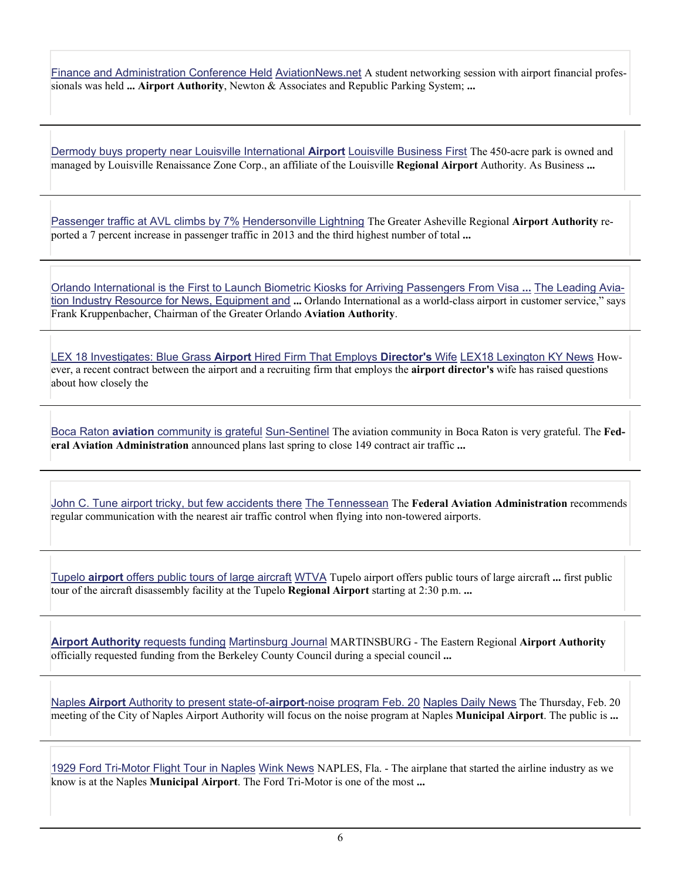[Finance and Administration Conference Held](https://www.google.com/url?q=http://www.aviationnews.net/%3Fdo%3Dheadline%26news_ID%3D228252&ct=ga&cd=Njk2OTM2NjI4MzQ4Mjg5ODA5NA&cad=CAEYAQ&usg=AFQjCNFvDxim5ODk8TBAb_KtxZu_oarSPQ) AviationNews.net A student networking session with airport financial professionals was held **... Airport Authority**, Newton & Associates and Republic Parking System; **...**

[Dermody buys property near Louisville International](https://www.google.com/url?q=http://www.bizjournals.com/louisville/news/2014/02/06/dermody-buys-property-near-louisville.html&ct=ga&cd=MTA4NDczODU5NzUyMTY4NTQzNDQ&cad=CAEYAA&usg=AFQjCNGRjVUguTFotIkxHksXnkwTt5aGdQ) **Airport** Louisville Business First The 450-acre park is owned and managed by Louisville Renaissance Zone Corp., an affiliate of the Louisville **Regional Airport** Authority. As Business **...**

[Passenger traffic at AVL climbs by 7%](https://www.google.com/url?q=http://www.hendersonvillelightning.com/business/2467-passenger-traffic-at-avl-climbs-by-7.html&ct=ga&cd=MzExNzIwMDQxOTMxNjEwMDI1&cad=CAEYAA&usg=AFQjCNHP-aDeai4nb18PPREMYMeTibnybA) Hendersonville Lightning The Greater Asheville Regional **Airport Authority** reported a 7 percent increase in passenger traffic in 2013 and the third highest number of total **...**

[Orlando International is the First to Launch Biometric Kiosks for Arriving Passengers From Visa](https://www.google.com/url?q=http://www.aviationpros.com/news/11307890/orlando-international-is-the-first-to-launch-biometric-kiosks-for-arriving-passengers-from-visa-waiver-countries&ct=ga&cd=MzEyNzQxOTg0NzEzMjc2NzY5NQ&cad=CAEYBA&usg=AFQjCNFuOkZk5hv52qH8N1LasebxduF6mg) **...** The Leading Aviation Industry Resource for News, Equipment and **...** Orlando International as a world-class airport in customer service," says Frank Kruppenbacher, Chairman of the Greater Orlando **Aviation Authority**.

[LEX 18 Investigates: Blue Grass](https://www.google.com/url?q=http://www.lex18.com/news/lex-18-investigates-blue-grass-airport-hired-firm-that-employs-director-s-wife&ct=ga&cd=MTc0ODE0MTQ4MjQ3Nzc2MTMzNTE&cad=CAEYAA&usg=AFQjCNHxul316E94_8N-pgS1r1LZiPKW4A) **Airport** Hired Firm That Employs **Director's** Wife LEX18 Lexington KY News However, a recent contract between the airport and a recruiting firm that employs the **airport director's** wife has raised questions about how closely the

Boca Raton **aviation** [community is grateful](https://www.google.com/url?q=http://www.sun-sentinel.com/news/opinion/letters/fl-letter-clara-bennett-20140209,0,6561707.story&ct=ga&cd=MzcyNDE2MjIwODk0Mjg0NjM1MQ&cad=CAEYAA&usg=AFQjCNHasJC3-v2VOQTRgT0CH43bJ4f1qg) Sun-Sentinel The aviation community in Boca Raton is very grateful. The **Federal Aviation Administration** announced plans last spring to close 149 contract air traffic **...**

[John C. Tune airport tricky, but few accidents there](https://www.google.com/url?q=http://www.tennessean.com/article/20140205/NEWS01/302050145/John-C.-Tune-airport-tricky-but-few-accidents-there&ct=ga&cd=MzE5NTEyNjg4MTQyOTI5NzY0MQ&cad=CAEYAg&usg=AFQjCNEH4IqB_zchqbDE6aZ0xJwqOuSPSQ) The Tennessean The **Federal Aviation Administration** recommends regular communication with the nearest air traffic control when flying into non-towered airports.

Tupelo **airport** [offers public tours of large aircraft](https://www.google.com/url?q=http://www.wtva.com/news/national/story/Tupelo-airport-offers-public-tours-of-large/7bGzZ4ZdwEC2IGGMuhsFng.cspx&ct=ga&cd=NjcxODE3Njc1MzU3NTQ5MDc0NA&cad=CAEYAA&usg=AFQjCNEEquQ6fN5vYFavC6LvR5NcUZ_oAQ) WTVA Tupelo airport offers public tours of large aircraft **...** first public tour of the aircraft disassembly facility at the Tupelo **Regional Airport** starting at 2:30 p.m. **...**

**[Airport Authority](https://www.google.com/url?q=http://www.journal-news.net/page/content.detail/id/604504/Airport-Authority-requests-funding.html%3Fnav%3D5006&ct=ga&cd=MzUzMTg3MTQyMzk1NTk0NTA2NA&cad=CAEYAA&usg=AFQjCNE4Vmq9BYqTJ-Q5kw3xpiwyiyAq-A)** requests funding Martinsburg Journal MARTINSBURG - The Eastern Regional **Airport Authority** officially requested funding from the Berkeley County Council during a special council **...**

Naples **Airport** [Authority to present state-of-](https://www.google.com/url?q=http://www.naplesnews.com/news/2014/feb/10/naples-airport-authority-to-present-state-of-airpo/%3FCID%3Dhappeningnow&ct=ga&cd=CAEYACoUMTAyODU2MDczMTk4ODk2Nzc5MzYyGjEyYzMwOTdlZDc1NDlmN2U6Y29tOmVuOlVT&usg=AFQjCNGcyo1YXcckyEl00CcfJodojpVc_w)**airport**-noise program Feb. 20 Naples Daily News The Thursday, Feb. 20 meeting of the City of Naples Airport Authority will focus on the noise program at Naples **Municipal Airport**. The public is **...**

[1929 Ford Tri-Motor Flight Tour in Naples](https://www.google.com/url?q=http://www.winknews.com/Local-Florida/2014-02-10/1929-Ford-Tri-Motor-Flight-Tour-in-Naples&ct=ga&cd=CAEYASoSNjM3NDkzNDgxMzMxMjY3NjkxMhoxMmMzMDk3ZWQ3NTQ5ZjdlOmNvbTplbjpVUw&usg=AFQjCNGPy_yFsAScoxdUrKdvLvyPZz3Q8A) Wink News NAPLES, Fla. - The airplane that started the airline industry as we know is at the Naples **Municipal Airport**. The Ford Tri-Motor is one of the most **...**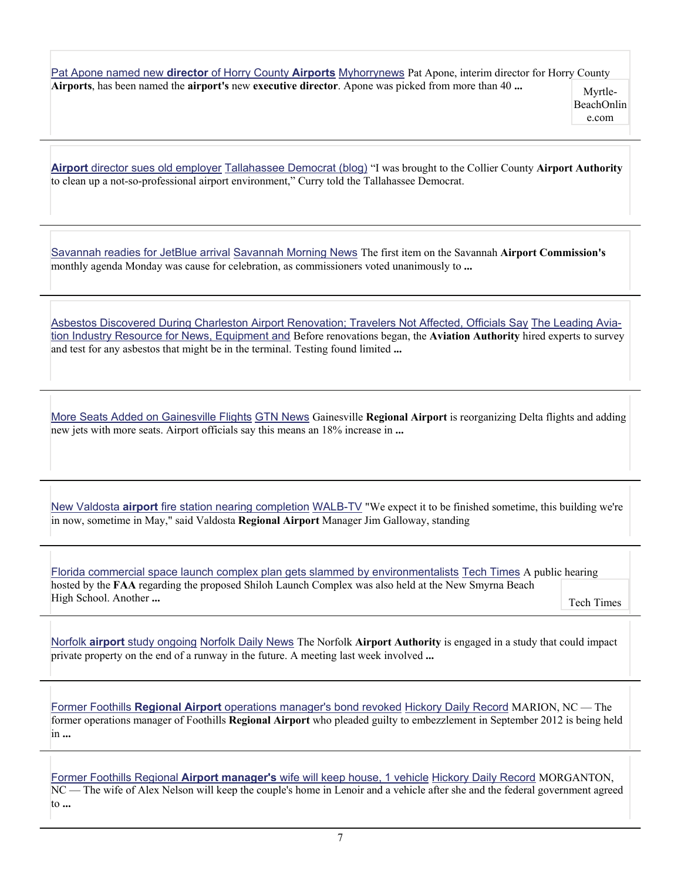[Pat Apone named new](https://www.google.com/url?q=http://www.myhorrynews.com/news/business/article_29b4b994-927a-11e3-98ee-001a4bcf6878.html&ct=ga&cd=CAEYASoUMTY4MjMxNDIzNjMxNDY3MTExMDQyGjdmNGRmYWQ1YzM3YWJjNDU6Y29tOmVuOlVT&usg=AFQjCNGm7IW7jreYUincVvUgHK7MlAsv9Q) **director** of Horry County **Airports** Myhorrynews Pat Apone, interim director for Horry County **Airports**, has been named the **airport's** new **executive director**. Apone was picked from more than 40 ... Myrtle-

BeachOnlin e.com

**Airport** [director sues old employer](https://www.google.com/url?q=http://www.tallahassee.com/article/20140211/POLITICSPOLICY/302110020/Airport-director-sues-old-employer&ct=ga&cd=CAEYCCoUMTM2MjQxNzUyMDc0NDk3Nzc5OTQyGjFmZmQ2NjY4OWZiZjE3NWE6Y29tOmVuOlVT&usg=AFQjCNF3gjdainjxX1aQioVzOh1tdpG_DA) Tallahassee Democrat (blog) "I was brought to the Collier County **Airport Authority** to clean up a not-so-professional airport environment," Curry told the Tallahassee Democrat.

[Savannah readies for JetBlue arrival](https://www.google.com/url?q=http://savannahnow.com/exchange/2014-02-10/savannah-readies-jetblue-arrival&ct=ga&cd=CAEYAyoUMTM2MjQxNzUyMDc0NDk3Nzc5OTQyGjFmZmQ2NjY4OWZiZjE3NWE6Y29tOmVuOlVT&usg=AFQjCNGl7lyi8QWRC6PCyqkAMOmcJZJjrA) Savannah Morning News The first item on the Savannah **Airport Commission's** monthly agenda Monday was cause for celebration, as commissioners voted unanimously to **...**

[Asbestos Discovered During Charleston Airport Renovation; Travelers Not Affected, Officials Say](https://www.google.com/url?q=http://www.aviationpros.com/news/11308832/charleston-international-airport-monitors-air-quality-after-asbestos-laced-materials-were-discovered&ct=ga&cd=CAEYCSoTNTUyNzg2NDczNjEyMDkzNTAxNTIaOTdmZmMyMDRkNmI2YmU1ZDpjb206ZW46VVM&usg=AFQjCNEz4r4hWqCT6scseFwkTJr9EYvvPg) The Leading Aviation Industry Resource for News, Equipment and Before renovations began, the **Aviation Authority** hired experts to survey and test for any asbestos that might be in the terminal. Testing found limited **...**

[More Seats Added on Gainesville Flights](https://www.google.com/url?q=http://www.mygtn.tv/story/24697382/more-seats-on-gainesville-flights&ct=ga&cd=CAEYACoTOTk3MjA0NTg1OTQ5MDQ0NzE2MTIaM2Y2NzM5NTBiODM4ZGNlMTpjb206ZW46VVM&usg=AFQjCNEnId3Pg228RT01TVG0wliffP--GQ) GTN News Gainesville **Regional Airport** is reorganizing Delta flights and adding new jets with more seats. Airport officials say this means an 18% increase in **...**

New Valdosta **airport** [fire station nearing completion](https://www.google.com/url?q=http://www.walb.com/story/24719156/new-valdosta-airport-fire-station-nearing-completion&ct=ga&cd=CAEYACoUMTc3OTYwMzQ3NTM2MDE4MzAxMTIyGjNmNjczOTUwYjgzOGRjZTE6Y29tOmVuOlVT&usg=AFQjCNEz9TNo9kvuYBGNsWZahSgchSVGnA) WALB-TV "We expect it to be finished sometime, this building we're in now, sometime in May," said Valdosta **Regional Airport** Manager Jim Galloway, standing

[Florida commercial space launch complex plan gets slammed by environmentalists](https://www.google.com/url?q=http://www.techtimes.com/articles/3382/20140213/florida-commercial-space-launch-complex-plan-gets-slammed-by-environmentalists.htm&ct=ga&cd=CAEYACoTNjA4ODQzOTQ3Nzc4NzU1ODcwNTIaYTZlZTc2ZjJjYjcxMTM4NTpjb206ZW46VVM&usg=AFQjCNFmpevbMhtD_lilc4T3-3AU7mMv_Q) Tech Times A public hearing hosted by the **FAA** regarding the proposed Shiloh Launch Complex was also held at the New Smyrna Beach High School. Another **...** Tech Times

Norfolk **airport** [study ongoing](https://www.google.com/url?q=http://norfolkdailynews.com/news/norfolk-airport-study-ongoing/article_b00bc8f4-9589-11e3-b0b3-001a4bcf6878.html&ct=ga&cd=CAEYACoTNDU2ODk3MTM2Mzc1NjUzMjA3NzIaNWM0N2M1N2RhOTNjMzM1MTpjb206ZW46VVM&usg=AFQjCNGoilslP-_TsYJWRC8Zz6Y7yRiAcQ) Norfolk Daily News The Norfolk **Airport Authority** is engaged in a study that could impact private property on the end of a runway in the future. A meeting last week involved **...**

Former Foothills **Regional Airport** [operations manager's bond revoked](https://www.google.com/url?q=http://www.hickoryrecord.com/news/article_205bac14-9594-11e3-8eba-001a4bcf6878.html&ct=ga&cd=CAEYACoUMTI1NjUwOTY5OTAyMDk1NDEyNjYyGjNmNjczOTUwYjgzOGRjZTE6Y29tOmVuOlVT&usg=AFQjCNH_fs_GXltbUG0NsnV8orbOoHA3OA) Hickory Daily Record MARION, NC — The former operations manager of Foothills **Regional Airport** who pleaded guilty to embezzlement in September 2012 is being held in **...**

Former Foothills Regional **Airport manager's** [wife will keep house, 1 vehicle](https://www.google.com/url?q=http://www.hickoryrecord.com/news/article_c696b0a6-9594-11e3-a41b-001a4bcf6878.html&ct=ga&cd=CAEYACoTOTMyNzUxMDEyODQwMzMwMzM2NTIaOGVjYjY3MWRlZmVkNjgxZTpjb206ZW46VVM&usg=AFQjCNEmdVG2VBDIaSo20mQcDhLOQf9r-Q) Hickory Daily Record MORGANTON, NC — The wife of Alex Nelson will keep the couple's home in Lenoir and a vehicle after she and the federal government agreed to **...**